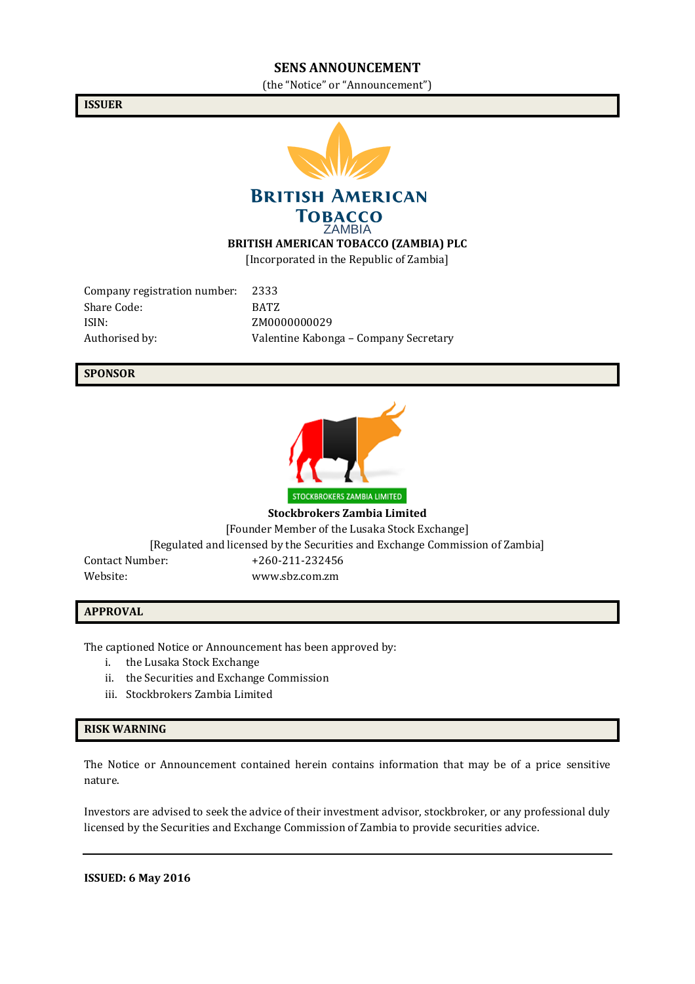#### **SENS ANNOUNCEMENT**

(the "Notice" or "Announcement")

**ISSUER**



**BRITISH AMERICAN TOBACCO** 

ZAMBIA

**BRITISH AMERICAN TOBACCO (ZAMBIA) PLC**

[Incorporated in the Republic of Zambia]

Company registration number: 2333 Share Code: BATZ ISIN: ZM0000000029

Authorised by: Valentine Kabonga – Company Secretary

### **SPONSOR**



**Stockbrokers Zambia Limited** [Founder Member of the Lusaka Stock Exchange] [Regulated and licensed by the Securities and Exchange Commission of Zambia] Contact Number: +260-211-232456

Website: www.sbz.com.zm

#### **APPROVAL**

The captioned Notice or Announcement has been approved by:

- i. the Lusaka Stock Exchange
- ii. the Securities and Exchange Commission
- iii. Stockbrokers Zambia Limited

#### **RISK WARNING**

The Notice or Announcement contained herein contains information that may be of a price sensitive nature.

Investors are advised to seek the advice of their investment advisor, stockbroker, or any professional duly licensed by the Securities and Exchange Commission of Zambia to provide securities advice.